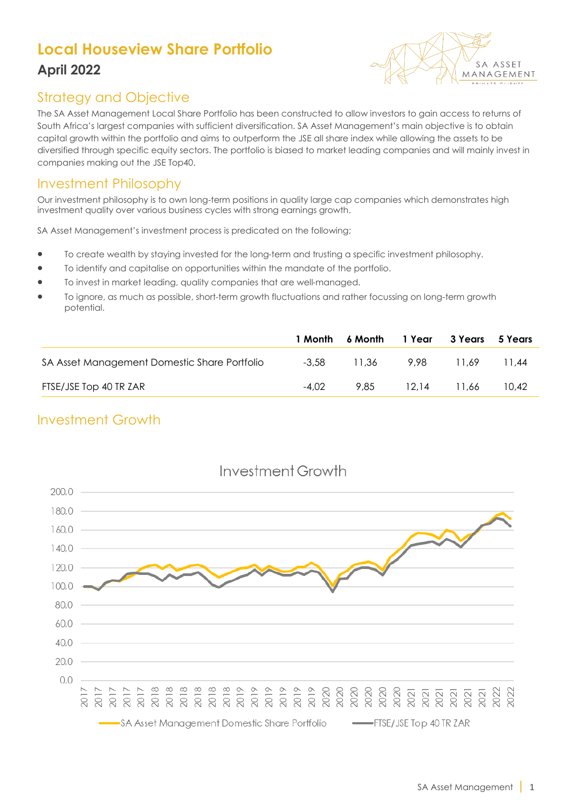# **Local Houseview Share Portfolio April 2022**



### Strategy and Objective

The SA Asset Management Local Share Portfolio has been constructed to allow investors to gain access to returns of South Africa's largest companies with sufficient diversification. SA Asset Management's main objective is to obtain capital growth within the portfolio and aims to outperform the JSE all share index while allowing the assets to be diversified through specific equity sectors. The portfolio is biased to market leading companies and will mainly invest in companies making out the JSE Top40.

#### Investment Philosophy

Our investment philosophy is to own long-term positions in quality large cap companies which demonstrates high investment quality over various business cycles with strong earnings growth.

SA Asset Management's investment process is predicated on the following;

- To create wealth by staying invested for the long-term and trusting a specific investment philosophy.
- To identify and capitalise on opportunities within the mandate of the portfolio.
- To invest in market leading, quality companies that are well-managed.
- To ignore, as much as possible, short-term growth fluctuations and rather focussing on long-term growth potential.

|                                              |         | 1 Month 6 Month 1 Year |       | 3 Years | 5 Years |
|----------------------------------------------|---------|------------------------|-------|---------|---------|
| SA Asset Management Domestic Share Portfolio | $-3.58$ | 11.36                  | 9.98  | 11.69   | 11.44   |
| FTSE/JSE Top 40 TR ZAR                       | -4.02   | 9.85                   | 12.14 | 11.66   | 10.42   |

### Investment Growth



# Investment Growth